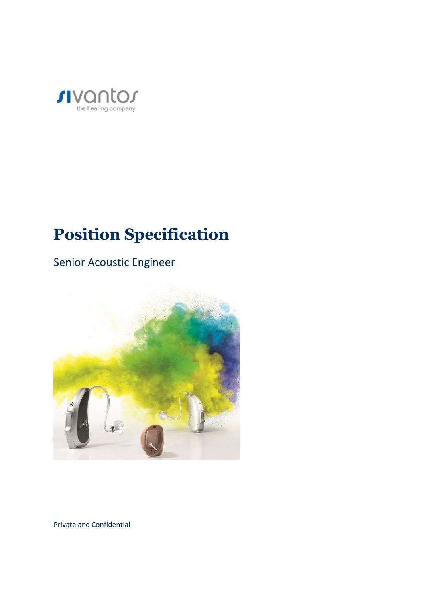

# **Position Specification**

Senior Acoustic Engineer



Private and Confidential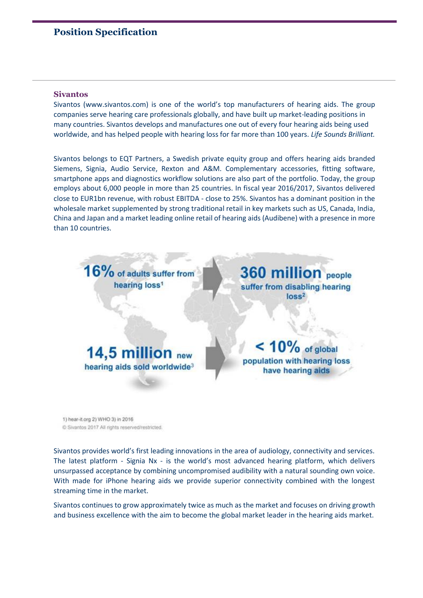# **Position Specification**

#### **Sivantos**

Sivantos (www.sivantos.com) is one of the world's top manufacturers of hearing aids. The group companies serve hearing care professionals globally, and have built up market-leading positions in many countries. Sivantos develops and manufactures one out of every four hearing aids being used worldwide, and has helped people with hearing loss for far more than 100 years. *Life Sounds Brilliant.*

Sivantos belongs to EQT Partners, a Swedish private equity group and offers hearing aids branded Siemens, Signia, Audio Service, Rexton and A&M. Complementary accessories, fitting software, smartphone apps and diagnostics workflow solutions are also part of the portfolio. Today, the group employs about 6,000 people in more than 25 countries. In fiscal year 2016/2017, Sivantos delivered close to EUR1bn revenue, with robust EBITDA - close to 25%. Sivantos has a dominant position in the wholesale market supplemented by strong traditional retail in key markets such as US, Canada, India, China and Japan and a market leading online retail of hearing aids (Audibene) with a presence in more than 10 countries.



1) hear-it.org 2) WHO 3) in 2016 C Sivantos 2017 All rights reserved/restricted.

Sivantos provides world's first leading innovations in the area of audiology, connectivity and services. The latest platform - Signia Nx - is the world's most advanced hearing platform, which delivers unsurpassed acceptance by combining uncompromised audibility with a natural sounding own voice. With made for iPhone hearing aids we provide superior connectivity combined with the longest streaming time in the market.

Sivantos continues to grow approximately twice as much as the market and focuses on driving growth and business excellence with the aim to become the global market leader in the hearing aids market.